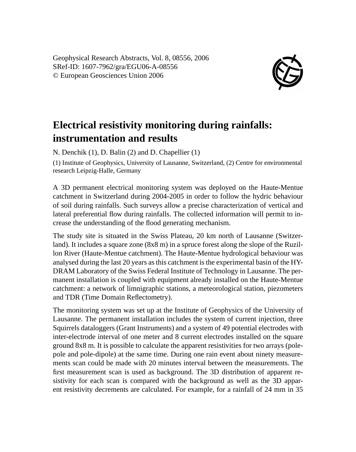Geophysical Research Abstracts, Vol. 8, 08556, 2006 SRef-ID: 1607-7962/gra/EGU06-A-08556 © European Geosciences Union 2006



## **Electrical resistivity monitoring during rainfalls: instrumentation and results**

N. Denchik (1), D. Balin (2) and D. Chapellier (1)

(1) Institute of Geophysics, University of Lausanne, Switzerland, (2) Centre for environmental research Leipzig-Halle, Germany

A 3D permanent electrical monitoring system was deployed on the Haute-Mentue catchment in Switzerland during 2004-2005 in order to follow the hydric behaviour of soil during rainfalls. Such surveys allow a precise characterization of vertical and lateral preferential flow during rainfalls. The collected information will permit to increase the understanding of the flood generating mechanism.

The study site is situated in the Swiss Plateau, 20 km north of Lausanne (Switzerland). It includes a square zone (8x8 m) in a spruce forest along the slope of the Ruzillon River (Haute-Mentue catchment). The Haute-Mentue hydrological behaviour was analysed during the last 20 years as this catchment is the experimental basin of the HY-DRAM Laboratory of the Swiss Federal Institute of Technology in Lausanne. The permanent installation is coupled with equipment already installed on the Haute-Mentue catchment: a network of limnigraphic stations, a meteorological station, piezometers and TDR (Time Domain Reflectometry).

The monitoring system was set up at the Institute of Geophysics of the University of Lausanne. The permanent installation includes the system of current injection, three Squirrels dataloggers (Grant Instruments) and a system of 49 potential electrodes with inter-electrode interval of one meter and 8 current electrodes installed on the square ground 8x8 m. It is possible to calculate the apparent resistivities for two arrays (polepole and pole-dipole) at the same time. During one rain event about ninety measurements scan could be made with 20 minutes interval between the measurements. The first measurement scan is used as background. The 3D distribution of apparent resistivity for each scan is compared with the background as well as the 3D apparent resistivity decrements are calculated. For example, for a rainfall of 24 mm in 35